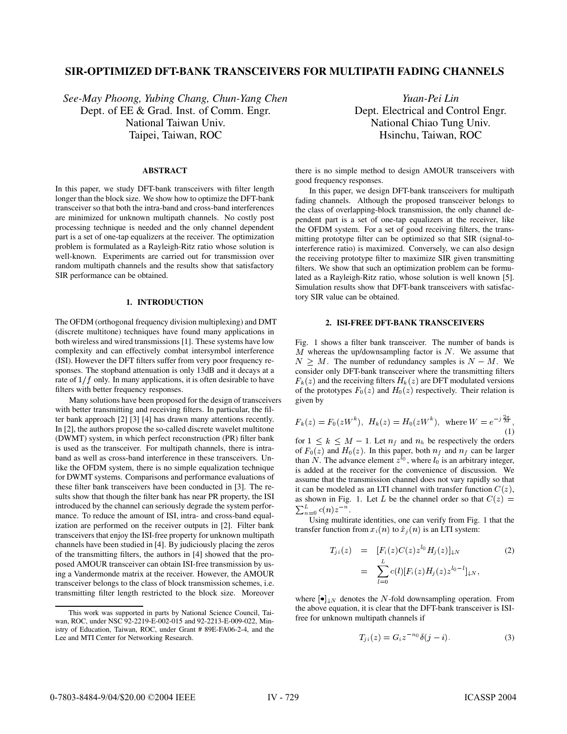# **SIR-OPTIMIZED DFT-BANK TRANSCEIVERS FOR MULTIPATH FADING CHANNELS**

*See-May Phoong, Yubing Chang, Chun-Yang Chen* Dept. of EE & Grad. Inst. of Comm. Engr. National Taiwan Univ. Taipei, Taiwan, ROC

### **ABSTRACT**

In this paper, we study DFT-bank transceivers with filter length longer than the block size. We show how to optimize the DFT-bank transceiver so that both the intra-band and cross-band interferences are minimized for unknown multipath channels. No costly post processing technique is needed and the only channel dependent part is a set of one-tap equalizers at the receiver. The optimization problem is formulated as a Rayleigh-Ritz ratio whose solution is well-known. Experiments are carried out for transmission over random multipath channels and the results show that satisfactory SIR performance can be obtained.

### **1. INTRODUCTION**

The OFDM (orthogonal frequency division multiplexing) and DMT (discrete multitone) techniques have found many applications in both wireless and wired transmissions [1]. These systems have low complexity and can effectively combat intersymbol interference (ISI). However the DFT filters suffer from very poor frequency responses. The stopband attenuation is only 13dB and it decays at a rate of  $1/f$  only. In many applications, it is often desirable to have filters with better frequency responses.

Many solutions have been proposed for the design of transceivers with better transmitting and receiving filters. In particular, the filter bank approach [2] [3] [4] has drawn many attentions recently. In [2], the authors propose the so-called discrete wavelet multitone (DWMT) system, in which perfect reconstruction (PR) filter bank is used as the transceiver. For multipath channels, there is intraband as well as cross-band interference in these transceivers. Unlike the OFDM system, there is no simple equalization technique for DWMT systems. Comparisons and performance evaluations of these filter bank transceivers have been conducted in [3]. The results show that though the filter bank has near PR property, the ISI introduced by the channel can seriously degrade the system performance. To reduce the amount of ISI, intra- and cross-band equalization are performed on the receiver outputs in [2]. Filter bank transceivers that enjoy the ISI-free property for unknown multipath channels have been studied in [4]. By judiciously placing the zeros of the transmitting filters, the authors in [4] showed that the proposed AMOUR transceiver can obtain ISI-free transmission by using a Vandermonde matrix at the receiver. However, the AMOUR transceiver belongs to the class of block transmission schemes, i.e. transmitting filter length restricted to the block size. Moreover

*Yuan-Pei Lin* Dept. Electrical and Control Engr. National Chiao Tung Univ. Hsinchu, Taiwan, ROC

there is no simple method to design AMOUR transceivers with good frequency responses.

In this paper, we design DFT-bank transceivers for multipath fading channels. Although the proposed transceiver belongs to the class of overlapping-block transmission, the only channel dependent part is a set of one-tap equalizers at the receiver, like the OFDM system. For a set of good receiving filters, the transmitting prototype filter can be optimized so that SIR (signal-tointerference ratio) is maximized. Conversely, we can also design the receiving prototype filter to maximize SIR given transmitting filters. We show that such an optimization problem can be formulated as a Rayleigh-Ritz ratio, whose solution is well known [5]. Simulation results show that DFT-bank transceivers with satisfactory SIR value can be obtained.

#### **2. ISI-FREE DFT-BANK TRANSCEIVERS**

Fig. 1 shows a filter bank transceiver. The number of bands is M whereas the up/downsampling factor is  $N$ . We assume that  $N \geq M$ . The number of redundancy samples is  $N - M$ . We consider only DFT-bank transceiver where the transmitting filters  $F_k(z)$  and the receiving filters  $H_k(z)$  are DFT modulated versions of the prototypes  $F_0(z)$  and  $H_0(z)$  respectively. Their relation is given by

$$
F_k(z) = F_0(zW^k), \ \ H_k(z) = H_0(zW^k), \ \ \text{where } W = e^{-j\frac{2\pi}{M}}, \tag{1}
$$

for  $1 \leq k \leq M - 1$ . Let  $n_f$  and  $n_h$  be respectively the orders of  $F_0(z)$  and  $H_0(z)$ . In this paper, both  $n_f$  and  $n_f$  can be larger than N. The advance element  $z^{t_0}$ , where  $l_0$  is an arbitrary integer, is added at the receiver for the convenience of discussion. We assume that the transmission channel does not vary rapidly so that it can be modeled as an LTI channel with transfer function  $C(z)$ , as shown in Fig. 1. Let L be the channel order so that  $C(z) =$  $\sum_{n=0}^{L} c(n) z^{-n}$ .

Using multirate identities, one can verify from Fig. 1 that the transfer function from  $x_i(n)$  to  $\hat{x}_j(n)$  is an LTI system:

$$
T_{ji}(z) = [F_i(z)C(z)z^{l_0}H_j(z)]_{\downarrow N}
$$
  
= 
$$
\sum_{l=0}^{L} c(l)[F_i(z)H_j(z)z^{l_0-l}]_{\downarrow N},
$$
 (2)

where  $[\bullet]_{\downarrow N}$  denotes the N-fold downsampling operation. From the above equation, it is clear that the DFT-bank transceiver is ISIfree for unknown multipath channels if

$$
T_{ji}(z) = G_i z^{-n_0} \delta(j - i). \tag{3}
$$

This work was supported in parts by National Science Council, Taiwan, ROC, under NSC 92-2219-E-002-015 and 92-2213-E-009-022, Ministry of Education, Taiwan, ROC, under Grant # 89E-FA06-2-4, and the Lee and MTI Center for Networking Research.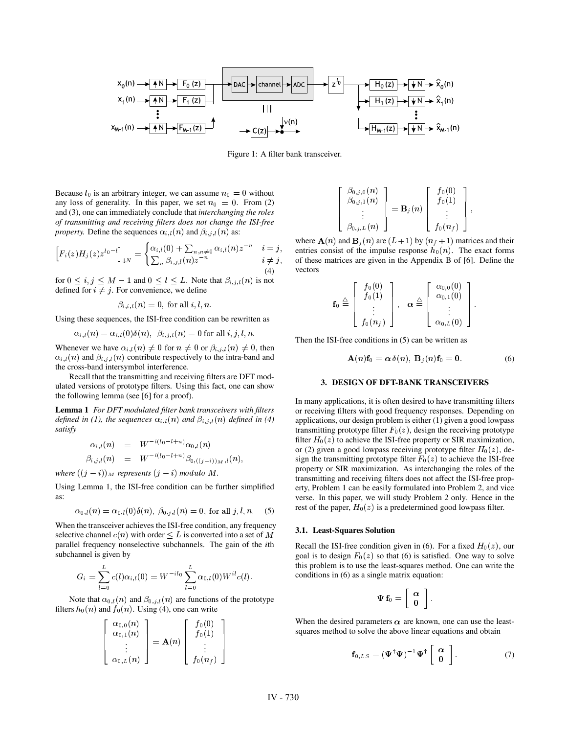

Figure 1: A filter bank transceiver.

Because  $l_0$  is an arbitrary integer, we can assume  $n_0 = 0$  without any loss of generality. In this paper, we set  $n_0 = 0$ . From (2) and (3), one can immediately conclude that *interchanging the roles of transmitting and receiving filters does not change the ISI-free property.* Define the sequences  $\alpha_{i,l}(n)$  and  $\beta_{i,j,l}(n)$  as:

$$
\[F_i(z)H_j(z)z^{l_0-l}\]_{\downarrow N} = \begin{cases} \alpha_{i,l}(0) + \sum_{n,n \neq 0} \alpha_{i,l}(n)z^{-n} & i = j, \\ \sum_n \beta_{i,j,l}(n)z^{-n} & i \neq j, \end{cases} \tag{4}
$$

for  $0 \le i, j \le M - 1$  and  $0 \le l \le L$ . Note that  $\beta_{i,j,l}(n)$  is not defined for  $i \neq j$ . For convenience, we define

 $\beta_{i,i,l}(n) = 0$ , for all i, l, n.

Using these sequences, the ISI-free condition can be rewritten as

$$
\alpha_{i,\,l}(n)=\alpha_{i,\,l}(0)\delta(n),\;\;\beta_{i,\,j,\,l}(n)=0\;\mathrm{for\;all}\;i,\,j,\,l,\,n.
$$

Whenever we have  $\alpha_{i,l}(n) \neq 0$  for  $n \neq 0$  or  $\beta_{i,j,l}(n) \neq 0$ , then  $\alpha_{i,l}(n)$  and  $\beta_{i,j,l}(n)$  contribute respectively to the intra-band and the cross-band intersymbol interference.

Recall that the transmitting and receiving filters are DFT modulated versions of prototype filters. Using this fact, one can show the following lemma (see [6] for a proof).

**Lemma 1** *For DFT modulated filter bank transceivers with filters* defined in (1), the sequences  $\alpha_{i,l}(n)$  and  $\beta_{i,j,l}(n)$  defined in (4) *satisfy*

$$
\alpha_{i,l}(n) = W^{-i(l_0-l+n)} \alpha_{0,l}(n) \n\beta_{i,j,l}(n) = W^{-i(l_0-l+n)} \beta_{0,((j-i))_M,l}(n),
$$

where  $((j - i))_M$  represents  $(j - i)$  modulo M.

Using Lemma 1, the ISI-free condition can be further simplified as:

$$
\alpha_{0,l}(n) = \alpha_{0,l}(0)\delta(n), \ \beta_{0,j,l}(n) = 0, \text{ for all } j, l, n. \quad (5)
$$

When the transceiver achieves the ISI-free condition, any frequency selective channel  $c(n)$  with order  $\leq L$  is converted into a set of M parallel frequency nonselective subchannels. The gain of the *i*th subchannel is given by

$$
G_i = \sum_{l=0}^{L} c(l) \alpha_{i,l}(0) = W^{-il_0} \sum_{l=0}^{L} \alpha_{0,l}(0) W^{il} c(l).
$$

Note that  $\alpha_{0,l}(n)$  and  $\beta_{0,j,l}(n)$  are functions of the prototype filters  $h_0(n)$  and  $f_0(n)$ . Using (4), one can write

$$
\left[\begin{array}{c} \alpha_{0,0}(n) \\ \alpha_{0,1}(n) \\ \vdots \\ \alpha_{0,L}(n) \end{array}\right] = \mathbf{A}(n) \left[\begin{array}{c} f_0(0) \\ f_0(1) \\ \vdots \\ f_0(n_f) \end{array}\right]
$$

$$
\left[\begin{array}{c} \beta_{0,j,0}(n) \\ \beta_{0,j,1}(n) \\ \vdots \\ \beta_{0,j,L}(n) \end{array}\right] = \mathbf{B}_j(n) \left[\begin{array}{c} f_0(0) \\ f_0(1) \\ \vdots \\ f_0(n_f) \end{array}\right],
$$

 $i = j$ , entries consist of the impulse response  $h_0(n)$ . The exact forms  $i \neq j$ , of these matrices are given in the Appendix B of [6]. Define the where  $\mathbf{A}(n)$  and  $\mathbf{B}_j(n)$  are  $(L+1)$  by  $(n_f+1)$  matrices and their vectors

$$
\mathbf{f}_0 \triangleq \left[ \begin{array}{c} f_0(0) \\ f_0(1) \\ \vdots \\ f_0(n_f) \end{array} \right], \quad \boldsymbol{\alpha} \triangleq \left[ \begin{array}{c} \alpha_{0,0}(0) \\ \alpha_{0,1}(0) \\ \vdots \\ \alpha_{0,L}(0) \end{array} \right].
$$

Then the ISI-free conditions in (5) can be written as

$$
\mathbf{A}(n)\mathbf{f}_0 = \alpha \,\delta(n), \ \mathbf{B}_j(n)\mathbf{f}_0 = \mathbf{0}.\tag{6}
$$

### **3. DESIGN OF DFT-BANK TRANSCEIVERS**

In many applications, it is often desired to have transmitting filters or receiving filters with good frequency responses. Depending on applications, our design problem is either (1) given a good lowpass transmitting prototype filter  $F_0(z)$ , design the receiving prototype filter  $H_0(z)$  to achieve the ISI-free property or SIR maximization, or (2) given a good lowpass receiving prototype filter  $H_0(z)$ , design the transmitting prototype filter  $F_0(z)$  to achieve the ISI-free property or SIR maximization. As interchanging the roles of the transmitting and receiving filters does not affect the ISI-free property, Problem 1 can be easily formulated into Problem 2, and vice verse. In this paper, we will study Problem 2 only. Hence in the rest of the paper,  $H_0(z)$  is a predetermined good lowpass filter.

#### **3.1. Least-Squares Solution**

Recall the ISI-free condition given in (6). For a fixed  $H_0(z)$ , our goal is to design  $F_0(z)$  so that (6) is satisfied. One way to solve this problem is to use the least-squares method. One can write the conditions in (6) as a single matrix equation:

$$
\boldsymbol{\Psi}\,\mathbf{f}_0 = \left[\begin{array}{c}\boldsymbol{\alpha}\\ \boldsymbol{0}\end{array}\right].
$$

When the desired parameters  $\alpha$  are known, one can use the leastsquares method to solve the above linear equations and obtain

$$
\mathbf{f}_{0,LS} = (\mathbf{\Psi}^{\dagger} \mathbf{\Psi})^{-1} \mathbf{\Psi}^{\dagger} \left[ \begin{array}{c} \mathbf{\alpha} \\ \mathbf{0} \end{array} \right]. \tag{7}
$$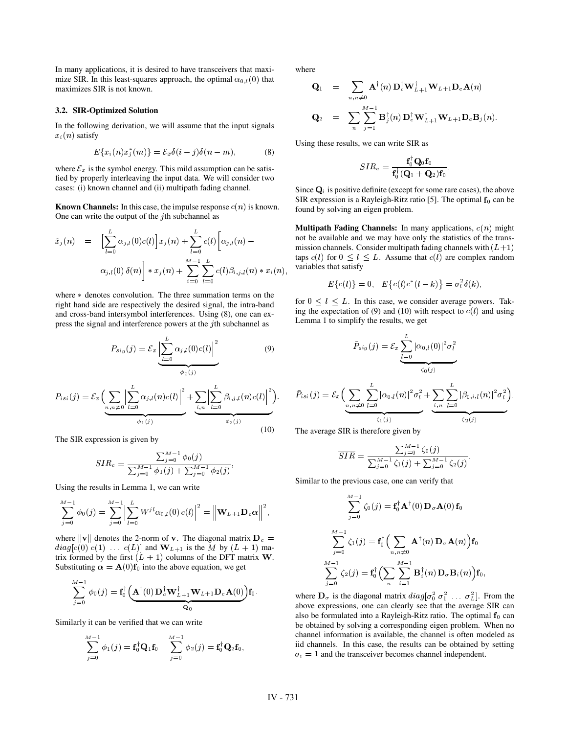In many applications, it is desired to have transceivers that maximize SIR. In this least-squares approach, the optimal  $\alpha_{0,l}(0)$  that maximizes SIR is not known.

### **3.2. SIR-Optimized Solution**

In the following derivation, we will assume that the input signals  $x_i(n)$  satisfy

$$
E\{x_i(n)x_j^*(m)\} = \mathcal{E}_x\delta(i-j)\delta(n-m),\tag{8}
$$

where  $\mathcal{E}_x$  is the symbol energy. This mild assumption can be satisfied by properly interleaving the input data. We will consider two cases: (i) known channel and (ii) multipath fading channel.

**Known Channels:** In this case, the impulse response  $c(n)$  is known. One can write the output of the  $j$ th subchannel as

$$
\hat{x}_j(n) = \left[ \sum_{l=0}^L \alpha_{j,l}(0)c(l) \right] x_j(n) + \sum_{l=0}^L c(l) \left[ \alpha_{j,l}(n) - \text{mot be } \text{missic } \text{taps } c \right]
$$
\n
$$
\alpha_{j,l}(0) \delta(n) \bigg] * x_j(n) + \sum_{i=0}^{M-1} \sum_{l=0}^L c(l) \beta_{i,j,l}(n) * x_i(n), \text{ variable}
$$

where  $*$  denotes convolution. The three summation terms on the right hand side are respectively the desired signal, the intra-band and cross-band intersymbol interferences. Using (8), one can express the signal and interference powers at the  $j$ th subchannel as

$$
P_{sig}(j) = \mathcal{E}_x \underbrace{\left| \sum_{l=0}^{L} \alpha_{j,l}(0) c(l) \right|^2}_{\phi_0(j)} \tag{9}
$$

$$
P_{isi}(j) = \mathcal{E}_x \Big( \underbrace{\sum_{n,n \neq 0} \Big| \sum_{l=0}^{L} \alpha_{j,l}(n) c(l) \Big|^2}_{\phi_1(j)} + \underbrace{\sum_{i,n} \Big| \sum_{l=0}^{L} \beta_{i,j,l}(n) c(l) \Big|^2}_{\phi_2(j)} \Big). \qquad \bar{P}_i
$$
\n(10)

The SIR expression is given by

$$
SIR_c = \frac{\sum_{j=0}^{M-1} \phi_0(j)}{\sum_{j=0}^{M-1} \phi_1(j) + \sum_{j=0}^{M-1} \phi_2(j)},
$$

Using the results in Lemma 1, we can write

$$
\sum_{j=0}^{M-1} \phi_0(j) = \sum_{j=0}^{M-1} \Big| \sum_{l=0}^{L} W^{jl} \alpha_{0,l}(0) c(l) \Big|^2 = \Big\| \mathbf{W}_{L+1} \mathbf{D}_c \alpha \Big\|^2,
$$

where  $\|\mathbf{v}\|$  denotes the 2-norm of **v**. The diagonal matrix  $\mathbf{D}_c =$  $diag[c(0) \ c(1) \ \ldots \ c(L)]$  and  $W_{L+1}$  is the M by  $(L + 1)$  matrix formed by the first  $(L + 1)$  columns of the DFT matrix **W**. Substituting  $\alpha = A(0) \mathbf{f}_0$  into the above equation, we get

$$
\sum_{j=0}^{M-1} \phi_0(j) = \mathbf{f}_0^{\dagger} \left( \underbrace{\mathbf{A}^{\dagger}(0) \, \mathbf{D}_c^{\dagger} \mathbf{W}_{L+1}^{\dagger} \mathbf{W}_{L+1} \mathbf{D}_c \mathbf{A}(0)}_{\mathbf{Q}_0} \right) \mathbf{f}_0.
$$

Similarly it can be verified that we can write

$$
\sum_{j=0}^{M-1}\phi_1(j) = \mathbf{f}_0^{\dagger}\mathbf{Q}_1\mathbf{f}_0 \quad \sum_{j=0}^{M-1}\phi_2(j) = \mathbf{f}_0^{\dagger}\mathbf{Q}_2\mathbf{f}_0,
$$

where

$$
\begin{array}{rcl}\n\mathbf{Q}_1 &=& \sum_{n,n\neq 0} \mathbf{A}^\dagger(n) \, \mathbf{D}_c^\dagger \mathbf{W}_{L+1}^\dagger \mathbf{W}_{L+1} \mathbf{D}_c \mathbf{A}(n) \\
\mathbf{Q}_2 &=& \sum_{n} \sum_{j=1}^{M-1} \mathbf{B}_j^\dagger(n) \, \mathbf{D}_c^\dagger \mathbf{W}_{L+1}^\dagger \mathbf{W}_{L+1} \mathbf{D}_c \mathbf{B}_j(n).\n\end{array}
$$

Using these results, we can write  $SIR$  as

$$
SIR_c=\frac{\mathbf{f}_0^\dagger \mathbf{Q}_0 \mathbf{f}_0}{\mathbf{f}_0^\dagger (\mathbf{Q}_1 + \mathbf{Q}_2) \mathbf{f}_0}.
$$

Since  $Q_i$  is positive definite (except for some rare cases), the above Since  $\mathbf{Q}_i$  is positive definite (except for some rare cases), the above<br>SIR expression is a Rayleigh-Ritz ratio [5]. The optimal  $\mathbf{f}_0$  can be <sup>o</sup> can be found by solving an eigen problem.

variables that satisfy **Multipath Fading Channels:** In many applications,  $c(n)$  might not be available and we may have only the statistics of the transmission channels. Consider multipath fading channels with  $(L+1)$ taps  $c(l)$  for  $0 \le l \le L$ . Assume that  $c(l)$  are complex random

$$
E\{c(l)\} = 0, \quad E\{c(l)c^*(l-k)\} = \sigma_l^2 \delta(k),
$$

for  $0 \leq l \leq L$ . In this case, we consider average powers. Taking the expectation of (9) and (10) with respect to  $c(l)$  and using Lemma 1 to simplify the results, we get

$$
\bar{P}_{sig}(j) = \mathcal{E}_{x} \underbrace{\sum_{l=0}^{L} |\alpha_{0,l}(0)|^{2} \sigma_{l}^{2}}_{\zeta_{0}(j)}
$$
\n
$$
\sum_{n,n \neq 0} \sum_{l=0}^{L} |\alpha_{0,l}(n)|^{2} \sigma_{l}^{2} + \underbrace{\sum_{i,n} \sum_{l=0}^{L} |\beta_{0,i,l}(n)|^{2} \sigma_{l}^{2}}_{\zeta_{2}(j)}.
$$

The average SIR is therefore given by

$$
\overline{SIR} = \frac{\sum_{j=0}^{M-1} \zeta_0(j)}{\sum_{j=0}^{M-1} \zeta_1(j) + \sum_{j=0}^{M-1} \zeta_2(j)}.
$$

Similar to the previous case, one can verify that

$$
\sum_{j=0}^{M-1} \zeta_0(j) = \mathbf{f}_0^{\dagger} \mathbf{A}^{\dagger}(0) \mathbf{D}_{\sigma} \mathbf{A}(0) \mathbf{f}_0
$$

$$
\sum_{j=0}^{M-1} \zeta_1(j) = \mathbf{f}_0^{\dagger} \Big( \sum_{n,n \neq 0} \mathbf{A}^{\dagger}(n) \mathbf{D}_{\sigma} \mathbf{A}(n) \Big) \mathbf{f}_0
$$

$$
\sum_{j=0}^{M-1} \zeta_2(j) = \mathbf{f}_0^{\dagger} \Big( \sum_{n} \sum_{i=1}^{M-1} \mathbf{B}_i^{\dagger}(n) \mathbf{D}_{\sigma} \mathbf{B}_i(n) \Big) \mathbf{f}_0,
$$

where  $\mathbf{D}_{\sigma}$  is the diagonal matrix  $diag[\sigma_0^2 \sigma_1^2 \dots \sigma_L^2]$ . From the above expressions, one can clearly see that the average SIR can where  $\mathbf{D}_{\sigma}$  is the diagonal matrix  $diag[\sigma_0^2 \sigma_1^2 \dots \sigma_L^2]$ . From the above expressions, one can clearly see that the average SIR can also be formulated into a Rayleigh-Ritz ratio. The optimal  $\mathbf{f}_0$  can  $_0$  can be obtained by solving a corresponding eigen problem. When no channel information is available, the channel is often modeled as iid channels. In this case, the results can be obtained by setting  $\sigma_i = 1$  and the transceiver becomes channel independent.